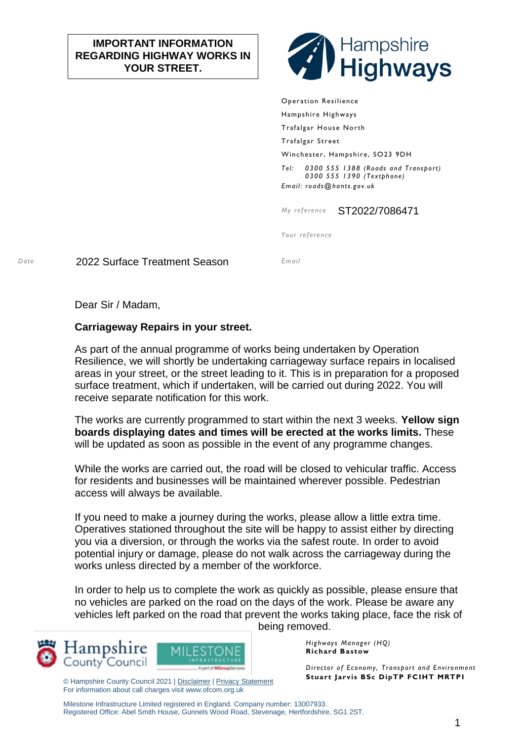## **IMPORTANT INFORMATION REGARDING HIGHWAY WORKS IN YOUR STREET.**



Operation Resilience Hampshire Highways Trafalgar House North Trafalgar Street Winchester, Hampshire, SO23 9DH *Tel: 0300 555 1388 (Roads and Transport) 0300 555 1390 (Textphone) Email: roads@hants.gov.uk*

*My reference* ST2022/7086471

*Your reference*

*Date* 2022 Surface Treatment Season *Email*

Dear Sir / Madam,

## **Carriageway Repairs in your street.**

As part of the annual programme of works being undertaken by Operation Resilience, we will shortly be undertaking carriageway surface repairs in localised areas in your street, or the street leading to it. This is in preparation for a proposed surface treatment, which if undertaken, will be carried out during 2022. You will receive separate notification for this work.

The works are currently programmed to start within the next 3 weeks. **Yellow sign boards displaying dates and times will be erected at the works limits.** These will be updated as soon as possible in the event of any programme changes.

While the works are carried out, the road will be closed to vehicular traffic. Access for residents and businesses will be maintained wherever possible. Pedestrian access will always be available.

If you need to make a journey during the works, please allow a little extra time. Operatives stationed throughout the site will be happy to assist either by directing you via a diversion, or through the works via the safest route. In order to avoid potential injury or damage, please do not walk across the carriageway during the works unless directed by a member of the workforce.

In order to help us to complete the work as quickly as possible, please ensure that no vehicles are parked on the road on the days of the work. Please be aware any vehicles left parked on the road that prevent the works taking place, face the risk of being removed.





© Hampshire County Council 2021 | [Disclaimer](http://www3.hants.gov.uk/disclaimer) [| Privacy Statement](http://www3.hants.gov.uk/privacy) For information about call charges visit www.ofcom.org.uk

*Highways Manager (HQ)* **Richard Bastow**

*Director of Economy, Transport and Environment* **Stuart Jarvis BSc DipTP FCIHT MRTPI**

Milestone Infrastructure Limited registered in England. Company number: 13007933. Registered Office: Abel Smith House, Gunnels Wood Road, Stevenage, Hertfordshire, SG1 2ST.